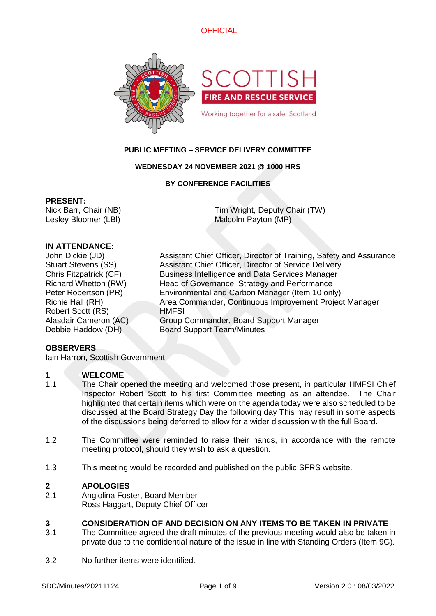



# **PUBLIC MEETING – SERVICE DELIVERY COMMITTEE**

# **WEDNESDAY 24 NOVEMBER 2021 @ 1000 HRS**

# **BY CONFERENCE FACILITIES**

### **PRESENT:**

Nick Barr, Chair (NB) Lesley Bloomer (LBl) Tim Wright, Deputy Chair (TW) Malcolm Payton (MP)

# **IN ATTENDANCE:**

Robert Scott (RS) HMFSI

John Dickie (JD) Assistant Chief Officer, Director of Training, Safety and Assurance Stuart Stevens (SS) Assistant Chief Officer, Director of Service Delivery Chris Fitzpatrick (CF) Business Intelligence and Data Services Manager Richard Whetton (RW) Head of Governance, Strategy and Performance Peter Robertson (PR) Environmental and Carbon Manager (Item 10 only) Richie Hall (RH) Area Commander, Continuous Improvement Project Manager Alasdair Cameron (AC) Group Commander, Board Support Manager Debbie Haddow (DH) Board Support Team/Minutes

# **OBSERVERS**

Iain Harron, Scottish Government

# **1 WELCOME**

- 1.1 The Chair opened the meeting and welcomed those present, in particular HMFSI Chief Inspector Robert Scott to his first Committee meeting as an attendee. The Chair highlighted that certain items which were on the agenda today were also scheduled to be discussed at the Board Strategy Day the following day This may result in some aspects of the discussions being deferred to allow for a wider discussion with the full Board.
- 1.2 The Committee were reminded to raise their hands, in accordance with the remote meeting protocol, should they wish to ask a question.
- 1.3 This meeting would be recorded and published on the public SFRS website.

# **2 APOLOGIES**

2.1 Angiolina Foster, Board Member Ross Haggart, Deputy Chief Officer

# **3 CONSIDERATION OF AND DECISION ON ANY ITEMS TO BE TAKEN IN PRIVATE**

- 3.1 The Committee agreed the draft minutes of the previous meeting would also be taken in private due to the confidential nature of the issue in line with Standing Orders (Item 9G).
- 3.2 No further items were identified.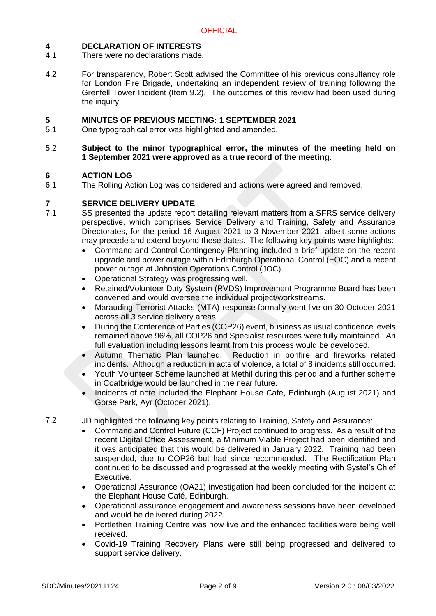# **4 DECLARATION OF INTERESTS**

- 4.1 There were no declarations made.
- 4.2 For transparency, Robert Scott advised the Committee of his previous consultancy role for London Fire Brigade, undertaking an independent review of training following the Grenfell Tower Incident (Item 9.2). The outcomes of this review had been used during the inquiry.

# **5 MINUTES OF PREVIOUS MEETING: 1 SEPTEMBER 2021**

5.1 One typographical error was highlighted and amended.

### 5.2 **Subject to the minor typographical error, the minutes of the meeting held on 1 September 2021 were approved as a true record of the meeting.**

# **6 ACTION LOG**

6.1 The Rolling Action Log was considered and actions were agreed and removed.

# **7 SERVICE DELIVERY UPDATE**

- 7.1 SS presented the update report detailing relevant matters from a SFRS service delivery perspective, which comprises Service Delivery and Training, Safety and Assurance Directorates, for the period 16 August 2021 to 3 November 2021, albeit some actions may precede and extend beyond these dates. The following key points were highlights:
	- Command and Control Contingency Planning included a brief update on the recent upgrade and power outage within Edinburgh Operational Control (EOC) and a recent power outage at Johnston Operations Control (JOC).
	- Operational Strategy was progressing well.
	- Retained/Volunteer Duty System (RVDS) Improvement Programme Board has been convened and would oversee the individual project/workstreams.
	- Marauding Terrorist Attacks (MTA) response formally went live on 30 October 2021 across all 3 service delivery areas.
	- During the Conference of Parties (COP26) event, business as usual confidence levels remained above 96%, all COP26 and Specialist resources were fully maintained. An full evaluation including lessons learnt from this process would be developed.
	- Autumn Thematic Plan launched. Reduction in bonfire and fireworks related incidents. Although a reduction in acts of violence, a total of 8 incidents still occurred.
	- Youth Volunteer Scheme launched at Methil during this period and a further scheme in Coatbridge would be launched in the near future.
	- Incidents of note included the Elephant House Cafe, Edinburgh (August 2021) and Gorse Park, Ayr (October 2021).

7.2 JD highlighted the following key points relating to Training, Safety and Assurance:

- Command and Control Future (CCF) Project continued to progress. As a result of the recent Digital Office Assessment, a Minimum Viable Project had been identified and it was anticipated that this would be delivered in January 2022. Training had been suspended, due to COP26 but had since recommended. The Rectification Plan continued to be discussed and progressed at the weekly meeting with Systel's Chief Executive.
- Operational Assurance (OA21) investigation had been concluded for the incident at the Elephant House Café, Edinburgh.
- Operational assurance engagement and awareness sessions have been developed and would be delivered during 2022.
- Portlethen Training Centre was now live and the enhanced facilities were being well received.
- Covid-19 Training Recovery Plans were still being progressed and delivered to support service delivery.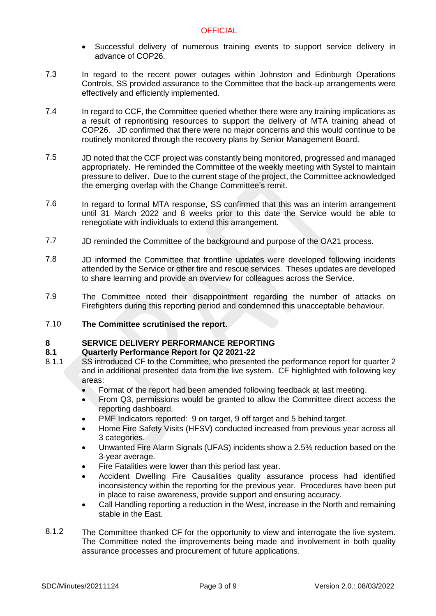- Successful delivery of numerous training events to support service delivery in advance of COP26.
- 7.3 In regard to the recent power outages within Johnston and Edinburgh Operations Controls, SS provided assurance to the Committee that the back-up arrangements were effectively and efficiently implemented.
- 7.4 In regard to CCF, the Committee queried whether there were any training implications as a result of reprioritising resources to support the delivery of MTA training ahead of COP26. JD confirmed that there were no major concerns and this would continue to be routinely monitored through the recovery plans by Senior Management Board.
- 7.5 JD noted that the CCF project was constantly being monitored, progressed and managed appropriately. He reminded the Committee of the weekly meeting with Systel to maintain pressure to deliver. Due to the current stage of the project, the Committee acknowledged the emerging overlap with the Change Committee's remit.
- 7.6 In regard to formal MTA response, SS confirmed that this was an interim arrangement until 31 March 2022 and 8 weeks prior to this date the Service would be able to renegotiate with individuals to extend this arrangement.
- 7.7 JD reminded the Committee of the background and purpose of the OA21 process.
- 7.8 JD informed the Committee that frontline updates were developed following incidents attended by the Service or other fire and rescue services. Theses updates are developed to share learning and provide an overview for colleagues across the Service.
- 7.9 The Committee noted their disappointment regarding the number of attacks on Firefighters during this reporting period and condemned this unacceptable behaviour.
- 7.10 **The Committee scrutinised the report.**

# **8 SERVICE DELIVERY PERFORMANCE REPORTING**

# **8.1 Quarterly Performance Report for Q2 2021-22**

- 8.1.1 SS introduced CF to the Committee, who presented the performance report for quarter 2 and in additional presented data from the live system. CF highlighted with following key areas:
	- Format of the report had been amended following feedback at last meeting.
	- From Q3, permissions would be granted to allow the Committee direct access the reporting dashboard.
	- PMF Indicators reported: 9 on target, 9 off target and 5 behind target.
	- Home Fire Safety Visits (HFSV) conducted increased from previous year across all 3 categories.
	- Unwanted Fire Alarm Signals (UFAS) incidents show a 2.5% reduction based on the 3-year average.
	- Fire Fatalities were lower than this period last year.
	- Accident Dwelling Fire Causalities quality assurance process had identified inconsistency within the reporting for the previous year. Procedures have been put in place to raise awareness, provide support and ensuring accuracy.
	- Call Handling reporting a reduction in the West, increase in the North and remaining stable in the East.
- 8.1.2 The Committee thanked CF for the opportunity to view and interrogate the live system. The Committee noted the improvements being made and involvement in both quality assurance processes and procurement of future applications.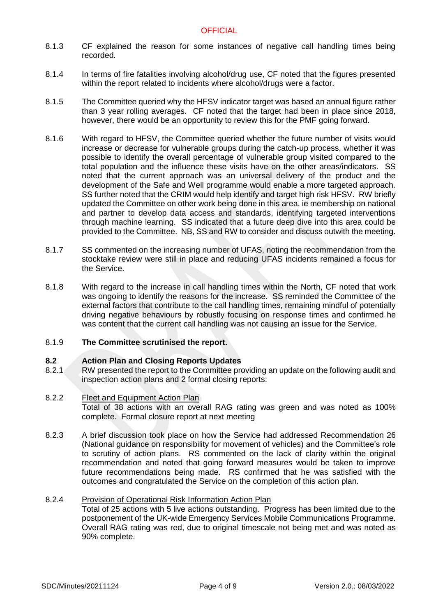- 8.1.3 CF explained the reason for some instances of negative call handling times being recorded.
- 8.1.4 In terms of fire fatalities involving alcohol/drug use, CF noted that the figures presented within the report related to incidents where alcohol/drugs were a factor.
- 8.1.5 The Committee queried why the HFSV indicator target was based an annual figure rather than 3 year rolling averages. CF noted that the target had been in place since 2018, however, there would be an opportunity to review this for the PMF going forward.
- 8.1.6 With regard to HFSV, the Committee queried whether the future number of visits would increase or decrease for vulnerable groups during the catch-up process, whether it was possible to identify the overall percentage of vulnerable group visited compared to the total population and the influence these visits have on the other areas/indicators. SS noted that the current approach was an universal delivery of the product and the development of the Safe and Well programme would enable a more targeted approach. SS further noted that the CRIM would help identify and target high risk HFSV. RW briefly updated the Committee on other work being done in this area, ie membership on national and partner to develop data access and standards, identifying targeted interventions through machine learning. SS indicated that a future deep dive into this area could be provided to the Committee. NB, SS and RW to consider and discuss outwith the meeting.
- 8.1.7 SS commented on the increasing number of UFAS, noting the recommendation from the stocktake review were still in place and reducing UFAS incidents remained a focus for the Service.
- 8.1.8 With regard to the increase in call handling times within the North, CF noted that work was ongoing to identify the reasons for the increase. SS reminded the Committee of the external factors that contribute to the call handling times, remaining mindful of potentially driving negative behaviours by robustly focusing on response times and confirmed he was content that the current call handling was not causing an issue for the Service.

#### 8.1.9 **The Committee scrutinised the report.**

# **8.2 Action Plan and Closing Reports Updates**

8.2.1 RW presented the report to the Committee providing an update on the following audit and inspection action plans and 2 formal closing reports:

#### 8.2.2 Fleet and Equipment Action Plan

Total of 38 actions with an overall RAG rating was green and was noted as 100% complete. Formal closure report at next meeting

8.2.3 A brief discussion took place on how the Service had addressed Recommendation 26 (National guidance on responsibility for movement of vehicles) and the Committee's role to scrutiny of action plans. RS commented on the lack of clarity within the original recommendation and noted that going forward measures would be taken to improve future recommendations being made. RS confirmed that he was satisfied with the outcomes and congratulated the Service on the completion of this action plan.

#### 8.2.4 Provision of Operational Risk Information Action Plan

Total of 25 actions with 5 live actions outstanding. Progress has been limited due to the postponement of the UK-wide Emergency Services Mobile Communications Programme. Overall RAG rating was red, due to original timescale not being met and was noted as 90% complete.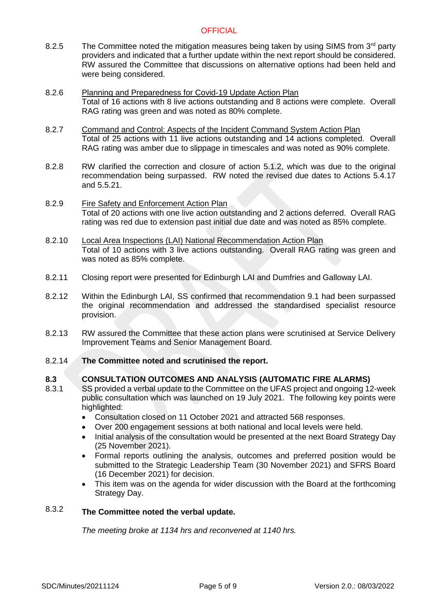- 8.2.5 The Committee noted the mitigation measures being taken by using SIMS from  $3<sup>rd</sup>$  party providers and indicated that a further update within the next report should be considered. RW assured the Committee that discussions on alternative options had been held and were being considered.
- 8.2.6 Planning and Preparedness for Covid-19 Update Action Plan Total of 16 actions with 8 live actions outstanding and 8 actions were complete. Overall RAG rating was green and was noted as 80% complete.
- 8.2.7 Command and Control: Aspects of the Incident Command System Action Plan Total of 25 actions with 11 live actions outstanding and 14 actions completed. Overall RAG rating was amber due to slippage in timescales and was noted as 90% complete.
- 8.2.8 RW clarified the correction and closure of action 5.1.2, which was due to the original recommendation being surpassed. RW noted the revised due dates to Actions 5.4.17 and 5.5.21.
- 8.2.9 Fire Safety and Enforcement Action Plan Total of 20 actions with one live action outstanding and 2 actions deferred. Overall RAG rating was red due to extension past initial due date and was noted as 85% complete.
- 8.2.10 Local Area Inspections (LAI) National Recommendation Action Plan Total of 10 actions with 3 live actions outstanding. Overall RAG rating was green and was noted as 85% complete.
- 8.2.11 Closing report were presented for Edinburgh LAI and Dumfries and Galloway LAI.
- 8.2.12 Within the Edinburgh LAI, SS confirmed that recommendation 9.1 had been surpassed the original recommendation and addressed the standardised specialist resource provision.
- 8.2.13 RW assured the Committee that these action plans were scrutinised at Service Delivery Improvement Teams and Senior Management Board.
- 8.2.14 **The Committee noted and scrutinised the report.**

#### **8.3 CONSULTATION OUTCOMES AND ANALYSIS (AUTOMATIC FIRE ALARMS)**

- 8.3.1 SS provided a verbal update to the Committee on the UFAS project and ongoing 12-week public consultation which was launched on 19 July 2021. The following key points were highlighted:
	- Consultation closed on 11 October 2021 and attracted 568 responses.
	- Over 200 engagement sessions at both national and local levels were held.
	- Initial analysis of the consultation would be presented at the next Board Strategy Day (25 November 2021).
	- Formal reports outlining the analysis, outcomes and preferred position would be submitted to the Strategic Leadership Team (30 November 2021) and SFRS Board (16 December 2021) for decision.
	- This item was on the agenda for wider discussion with the Board at the forthcoming Strategy Day.

### 8.3.2 **The Committee noted the verbal update.**

*The meeting broke at 1134 hrs and reconvened at 1140 hrs.*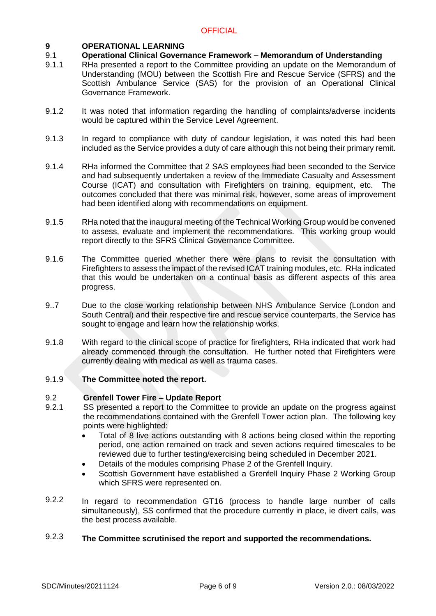# **9 OPERATIONAL LEARNING**

#### 9.1 **Operational Clinical Governance Framework – Memorandum of Understanding**

- 9.1.1 RHa presented a report to the Committee providing an update on the Memorandum of Understanding (MOU) between the Scottish Fire and Rescue Service (SFRS) and the Scottish Ambulance Service (SAS) for the provision of an Operational Clinical Governance Framework.
- 9.1.2 It was noted that information regarding the handling of complaints/adverse incidents would be captured within the Service Level Agreement.
- 9.1.3 In regard to compliance with duty of candour legislation, it was noted this had been included as the Service provides a duty of care although this not being their primary remit.
- 9.1.4 RHa informed the Committee that 2 SAS employees had been seconded to the Service and had subsequently undertaken a review of the Immediate Casualty and Assessment Course (ICAT) and consultation with Firefighters on training, equipment, etc. The outcomes concluded that there was minimal risk, however, some areas of improvement had been identified along with recommendations on equipment.
- 9.1.5 RHa noted that the inaugural meeting of the Technical Working Group would be convened to assess, evaluate and implement the recommendations. This working group would report directly to the SFRS Clinical Governance Committee.
- 9.1.6 The Committee queried whether there were plans to revisit the consultation with Firefighters to assess the impact of the revised ICAT training modules, etc. RHa indicated that this would be undertaken on a continual basis as different aspects of this area progress.
- 9..7 Due to the close working relationship between NHS Ambulance Service (London and South Central) and their respective fire and rescue service counterparts, the Service has sought to engage and learn how the relationship works.
- 9.1.8 With regard to the clinical scope of practice for firefighters, RHa indicated that work had already commenced through the consultation. He further noted that Firefighters were currently dealing with medical as well as trauma cases.

#### 9.1.9 **The Committee noted the report.**

# 9.2 **Grenfell Tower Fire – Update Report**

- 9.2.1 SS presented a report to the Committee to provide an update on the progress against the recommendations contained with the Grenfell Tower action plan. The following key points were highlighted:
	- Total of 8 live actions outstanding with 8 actions being closed within the reporting period, one action remained on track and seven actions required timescales to be reviewed due to further testing/exercising being scheduled in December 2021.
	- Details of the modules comprising Phase 2 of the Grenfell Inquiry.
	- Scottish Government have established a Grenfell Inquiry Phase 2 Working Group which SFRS were represented on.
- 9.2.2 In regard to recommendation GT16 (process to handle large number of calls simultaneously), SS confirmed that the procedure currently in place, ie divert calls, was the best process available.

### 9.2.3 **The Committee scrutinised the report and supported the recommendations.**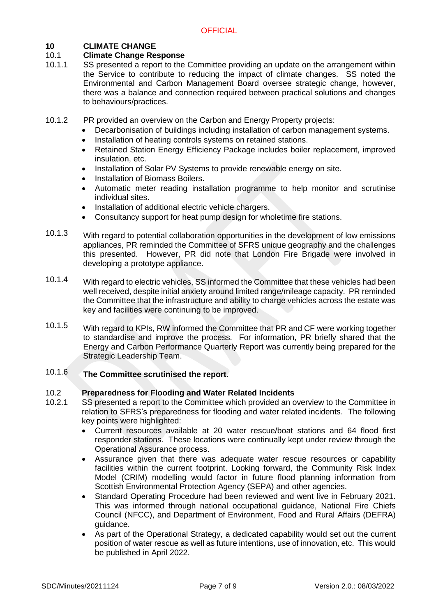# **10 CLIMATE CHANGE**

#### 10.1 **Climate Change Response**

- 10.1.1 SS presented a report to the Committee providing an update on the arrangement within the Service to contribute to reducing the impact of climate changes. SS noted the Environmental and Carbon Management Board oversee strategic change, however, there was a balance and connection required between practical solutions and changes to behaviours/practices.
- 10.1.2 PR provided an overview on the Carbon and Energy Property projects:
	- Decarbonisation of buildings including installation of carbon management systems.
	- Installation of heating controls systems on retained stations.
	- Retained Station Energy Efficiency Package includes boiler replacement, improved insulation, etc.
	- Installation of Solar PV Systems to provide renewable energy on site.
	- Installation of Biomass Boilers.
	- Automatic meter reading installation programme to help monitor and scrutinise individual sites.
	- Installation of additional electric vehicle chargers.
	- Consultancy support for heat pump design for wholetime fire stations.
- 10.1.3 With regard to potential collaboration opportunities in the development of low emissions appliances, PR reminded the Committee of SFRS unique geography and the challenges this presented. However, PR did note that London Fire Brigade were involved in developing a prototype appliance.
- 10.1.4 With regard to electric vehicles, SS informed the Committee that these vehicles had been well received, despite initial anxiety around limited range/mileage capacity. PR reminded the Committee that the infrastructure and ability to charge vehicles across the estate was key and facilities were continuing to be improved.
- 10.1.5 With regard to KPIs, RW informed the Committee that PR and CF were working together to standardise and improve the process. For information, PR briefly shared that the Energy and Carbon Performance Quarterly Report was currently being prepared for the Strategic Leadership Team.

### 10.1.6 **The Committee scrutinised the report.**

#### 10.2 **Preparedness for Flooding and Water Related Incidents**

- 10.2.1 SS presented a report to the Committee which provided an overview to the Committee in relation to SFRS's preparedness for flooding and water related incidents. The following key points were highlighted:
	- Current resources available at 20 water rescue/boat stations and 64 flood first responder stations. These locations were continually kept under review through the Operational Assurance process.
	- Assurance given that there was adequate water rescue resources or capability facilities within the current footprint. Looking forward, the Community Risk Index Model (CRIM) modelling would factor in future flood planning information from Scottish Environmental Protection Agency (SEPA) and other agencies.
	- Standard Operating Procedure had been reviewed and went live in February 2021. This was informed through national occupational guidance, National Fire Chiefs Council (NFCC), and Department of Environment, Food and Rural Affairs (DEFRA) guidance.
	- As part of the Operational Strategy, a dedicated capability would set out the current position of water rescue as well as future intentions, use of innovation, etc. This would be published in April 2022.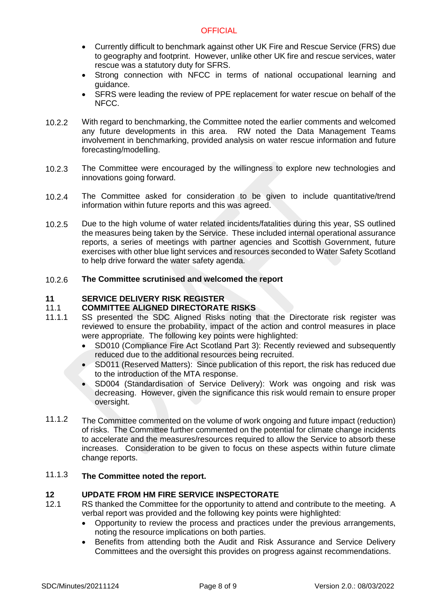- Currently difficult to benchmark against other UK Fire and Rescue Service (FRS) due to geography and footprint. However, unlike other UK fire and rescue services, water rescue was a statutory duty for SFRS.
- Strong connection with NFCC in terms of national occupational learning and guidance.
- SFRS were leading the review of PPE replacement for water rescue on behalf of the NFCC.
- 10.2.2 With regard to benchmarking, the Committee noted the earlier comments and welcomed any future developments in this area. RW noted the Data Management Teams involvement in benchmarking, provided analysis on water rescue information and future forecasting/modelling.
- 10.2.3 The Committee were encouraged by the willingness to explore new technologies and innovations going forward.
- 10.2.4 The Committee asked for consideration to be given to include quantitative/trend information within future reports and this was agreed.
- 10.2.5 Due to the high volume of water related incidents/fatalities during this year, SS outlined the measures being taken by the Service. These included internal operational assurance reports, a series of meetings with partner agencies and Scottish Government, future exercises with other blue light services and resources seconded to Water Safety Scotland to help drive forward the water safety agenda.

#### 10.2.6 **The Committee scrutinised and welcomed the report**

# **11 SERVICE DELIVERY RISK REGISTER**

# 11.1 **COMMITTEE ALIGNED DIRECTORATE RISKS**

- 11.1.1 SS presented the SDC Aligned Risks noting that the Directorate risk register was reviewed to ensure the probability, impact of the action and control measures in place were appropriate. The following key points were highlighted:
	- SD010 (Compliance Fire Act Scotland Part 3): Recently reviewed and subsequently reduced due to the additional resources being recruited.
	- SD011 (Reserved Matters): Since publication of this report, the risk has reduced due to the introduction of the MTA response.
	- SD004 (Standardisation of Service Delivery): Work was ongoing and risk was decreasing. However, given the significance this risk would remain to ensure proper oversight.
- 11.1.2 The Committee commented on the volume of work ongoing and future impact (reduction) of risks. The Committee further commented on the potential for climate change incidents to accelerate and the measures/resources required to allow the Service to absorb these increases. Consideration to be given to focus on these aspects within future climate change reports.

#### 11.1.3 **The Committee noted the report.**

# **12 UPDATE FROM HM FIRE SERVICE INSPECTORATE**

- 12.1 RS thanked the Committee for the opportunity to attend and contribute to the meeting. A verbal report was provided and the following key points were highlighted:
	- Opportunity to review the process and practices under the previous arrangements, noting the resource implications on both parties.
	- Benefits from attending both the Audit and Risk Assurance and Service Delivery Committees and the oversight this provides on progress against recommendations.